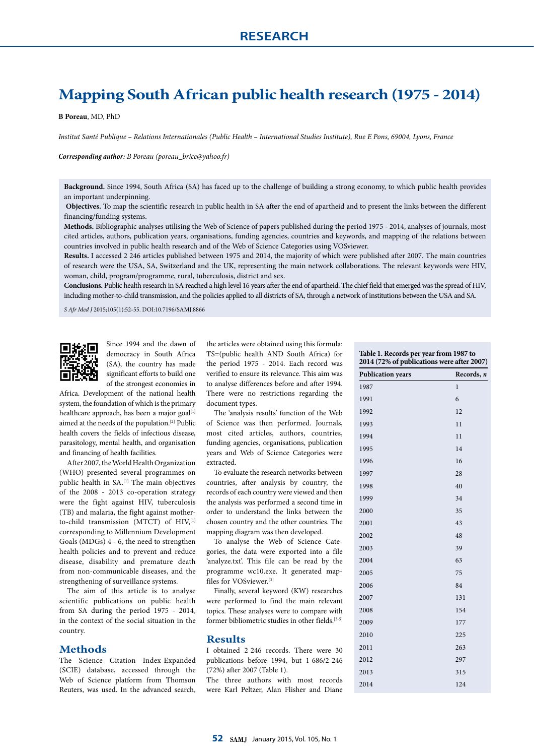# **Mapping South African public health research (1975 - 2014)**

**B Poreau**, MD, PhD

*Institut Santé Publique – Relations Internationales (Public Health – International Studies Institute), Rue E Pons, 69004, Lyons, France*

*Corresponding author: B Poreau (poreau\_brice@yahoo.fr)*

**Background.** Since 1994, South Africa (SA) has faced up to the challenge of building a strong economy, to which public health provides an important underpinning.

 **Objectives.** To map the scientific research in public health in SA after the end of apartheid and to present the links between the different financing/funding systems.

**Methods.** Bibliographic analyses utilising the Web of Science of papers published during the period 1975 - 2014, analyses of journals, most cited articles, authors, publication years, organisations, funding agencies, countries and keywords, and mapping of the relations between countries involved in public health research and of the Web of Science Categories using VOSviewer.

**Results.** I accessed 2 246 articles published between 1975 and 2014, the majority of which were published after 2007. The main countries of research were the USA, SA, Switzerland and the UK, representing the main network collaborations. The relevant keywords were HIV, woman, child, program/programme, rural, tuberculosis, district and sex.

**Conclusions.** Public health research in SA reached a high level 16 years after the end of apartheid. The chief field that emerged was the spread of HIV, including mother-to-child transmission, and the policies applied to all districts of SA, through a network of institutions between the USA and SA.

*S Afr Med J* 2015;105(1):52-55. DOI:10.7196/SAMJ.8866



Since 1994 and the dawn of democracy in South Africa (SA), the country has made significant efforts to build one of the strongest economies in

Africa. Development of the national health system, the foundation of which is the primary healthcare approach, has been a major goal<sup>[1]</sup> aimed at the needs of the population.[2] Public health covers the fields of infectious disease, parasitology, mental health, and organisation and financing of health facilities.

After 2007, the World Health Organization (WHO) presented several programmes on public health in SA.<sup>[1]</sup> The main objectives of the 2008 - 2013 co-operation strategy were the fight against HIV, tuberculosis (TB) and malaria, the fight against motherto-child transmission (MTCT) of HIV,<sup>[1]</sup> corresponding to Millennium Development Goals (MDGs) 4 - 6, the need to strengthen health policies and to prevent and reduce disease, disability and premature death from non-communicable diseases, and the strengthening of surveillance systems.

The aim of this article is to analyse scientific publications on public health from SA during the period 1975 - 2014, in the context of the social situation in the country.

#### **Methods**

The Science Citation Index-Expanded (SCIE) database, accessed through the Web of Science platform from Thomson Reuters, was used. In the advanced search,

the articles were obtained using this formula: TS=(public health AND South Africa) for the period 1975 - 2014. Each record was verified to ensure its relevance. This aim was to analyse differences before and after 1994. There were no restrictions regarding the document types.

The 'analysis results' function of the Web of Science was then performed. Journals, most cited articles, authors, countries, funding agencies, organisations, publication years and Web of Science Categories were extracted.

To evaluate the research networks between countries, after analysis by country, the records of each country were viewed and then the analysis was performed a second time in order to understand the links between the chosen country and the other countries. The mapping diagram was then developed.

To analyse the Web of Science Categories, the data were exported into a file 'analyze.txt'. This file can be read by the programme wc10.exe. It generated mapfiles for VOSviewer.[3]

Finally, several keyword (KW) researches were performed to find the main relevant topics. These analyses were to compare with former bibliometric studies in other fields.[3-5]

### **Results**

I obtained 2 246 records. There were 30 publications before 1994, but 1 686/2 246 (72%) after 2007 (Table 1).

The three authors with most records were Karl Peltzer, Alan Flisher and Diane

| 2014 (72% of publications were after 2007) |  |  |
|--------------------------------------------|--|--|
| Records, n                                 |  |  |
| $\mathbf{1}$                               |  |  |
| 6                                          |  |  |
| 12                                         |  |  |
| 11                                         |  |  |
| 11                                         |  |  |
| 14                                         |  |  |
| 16                                         |  |  |
| 28                                         |  |  |
| 40                                         |  |  |
| 34                                         |  |  |
| 35                                         |  |  |
| 43                                         |  |  |
| 48                                         |  |  |
| 39                                         |  |  |
| 63                                         |  |  |
| 75                                         |  |  |
| 84                                         |  |  |
| 131                                        |  |  |
| 154                                        |  |  |
| 177                                        |  |  |
| 225                                        |  |  |
| 263                                        |  |  |
| 297                                        |  |  |
| 315                                        |  |  |
| 124                                        |  |  |
|                                            |  |  |

**Table 1. Records per year from 1987 to**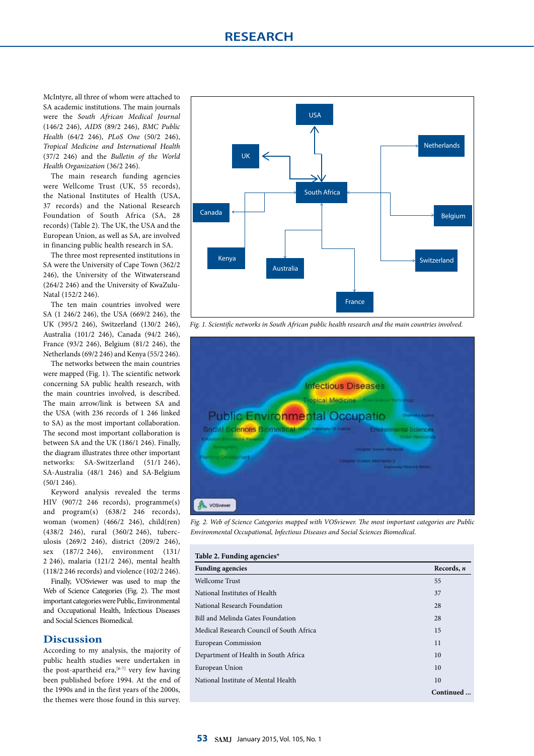McIntyre, all three of whom were attached to SA academic institutions. The main journals were the *South African Medical Journal*  (146/2 246), *AIDS* (89/2 246), *BMC Public Health* (64/2 246), *PLoS One* (50/2 246), *Tropical Medicine and International Health* (37/2 246) and the *Bulletin of the World Health Organization* (36/2 246).

The main research funding agencies were Wellcome Trust (UK, 55 records), the National Institutes of Health (USA, 37 records) and the National Research Foundation of South Africa (SA, 28 records) (Table 2). The UK, the USA and the European Union, as well as SA, are involved in financing public health research in SA.

The three most represented institutions in SA were the University of Cape Town (362/2 246), the University of the Witwatersrand (264/2 246) and the University of KwaZulu-Natal (152/2 246).

The ten main countries involved were SA (1 246/2 246), the USA (669/2 246), the UK (395/2 246), Switzerland (130/2 246), Australia (101/2 246), Canada (94/2 246), France (93/2 246), Belgium (81/2 246), the Netherlands (69/2 246) and Kenya (55/2 246).

The networks between the main countries were mapped (Fig. 1). The scientific network concerning SA public health research, with the main countries involved, is described. The main arrow/link is between SA and the USA (with 236 records of 1 246 linked to SA) as the most important collaboration. The second most important collaboration is between SA and the UK (186/1 246). Finally, the diagram illustrates three other important networks: SA-Switzerland (51/1 246), SA-Australia (48/1 246) and SA-Belgium  $(50/1, 246)$ 

Keyword analysis revealed the terms HIV (907/2 246 records), programme(s) and program(s) (638/2 246 records), woman (women) (466/2 246), child(ren) (438/2 246), rural (360/2 246), tuberculosis (269/2 246), district (209/2 246), sex (187/2 246), environment (131/ 2 246), malaria (121/2 246), mental health (118/2 246 records) and violence (102/2 246).

Finally, VOSviewer was used to map the Web of Science Categories (Fig. 2). The most important categories were Public, Environmental and Occupational Health, Infectious Diseases and Social Sciences Biomedical.

# **Discussion**

According to my analysis, the majority of public health studies were undertaken in the post-apartheid era,  $[6-7]$  very few having been published before 1994. At the end of the 1990s and in the first years of the 2000s, the themes were those found in this survey.



*Fig. 1. Scientific networks in South African public health research and the main countries involved.*



*Fig. 2. Web of Science Categories mapped with VOSviewer. The most important categories are Public Environmental Occupational, Infectious Diseases and Social Sciences Biomedical.*

| Table 2. Funding agencies*               |            |  |
|------------------------------------------|------------|--|
| <b>Funding agencies</b>                  | Records, n |  |
| Wellcome Trust                           | 55         |  |
| National Institutes of Health            | 37         |  |
| National Research Foundation             | 28         |  |
| Bill and Melinda Gates Foundation        | 28         |  |
| Medical Research Council of South Africa | 15         |  |
| European Commission                      | 11         |  |
| Department of Health in South Africa     | 10         |  |
| European Union                           | 10         |  |
| National Institute of Mental Health      | 10         |  |
|                                          | Continued  |  |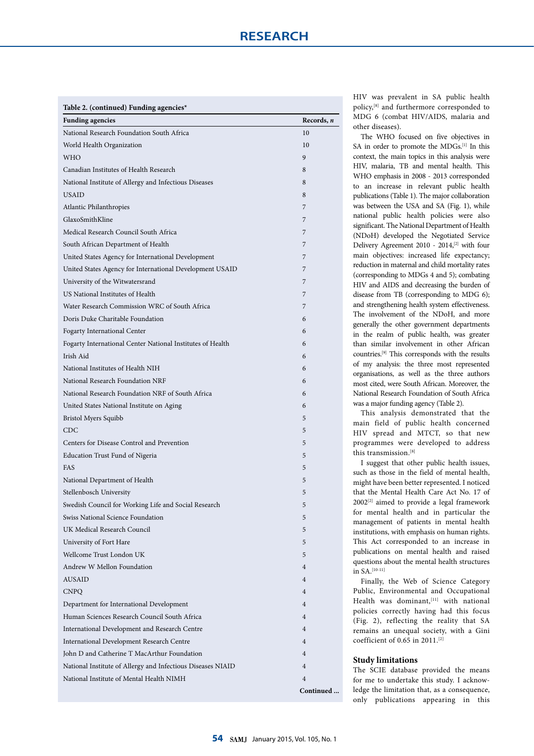| <b>Funding agencies</b><br>Records, n<br>National Research Foundation South Africa<br>10<br>World Health Organization<br>10<br><b>WHO</b><br>9<br>Canadian Institutes of Health Research<br>8<br>National Institute of Allergy and Infectious Diseases<br>8<br><b>USAID</b><br>8<br>Atlantic Philanthropies<br>7<br>GlaxoSmithKline<br>7<br>Medical Research Council South Africa<br>7<br>South African Department of Health<br>7<br>United States Agency for International Development<br>7<br>United States Agency for International Development USAID<br>7<br>University of the Witwatersrand<br>7<br>US National Institutes of Health<br>7<br>Water Research Commission WRC of South Africa<br>7<br>Doris Duke Charitable Foundation<br>6<br>Fogarty International Center<br>6<br>Fogarty International Center National Institutes of Health<br>6<br>Irish Aid<br>6<br>National Institutes of Health NIH<br>6<br>National Research Foundation NRF<br>6<br>National Research Foundation NRF of South Africa<br>6<br>6<br>United States National Institute on Aging<br><b>Bristol Myers Squibb</b><br>5<br><b>CDC</b><br>5<br>Centers for Disease Control and Prevention<br>5<br>Education Trust Fund of Nigeria<br>5<br>FAS<br>5<br>National Department of Health<br>5<br>Stellenbosch University<br>5<br>Swedish Council for Working Life and Social Research<br>C<br>Swiss National Science Foundation<br>5<br>UK Medical Research Council<br>5<br>University of Fort Hare<br>5<br>Wellcome Trust London UK<br>5<br>Andrew W Mellon Foundation<br>$\overline{4}$<br><b>AUSAID</b><br>$\overline{4}$<br><b>CNPQ</b><br>4<br>Department for International Development<br>$\overline{4}$<br>Human Sciences Research Council South Africa<br>$\overline{4}$<br>International Development and Research Centre<br>$\overline{4}$<br>International Development Research Centre<br>4<br>John D and Catherine T MacArthur Foundation<br>$\overline{4}$<br>National Institute of Allergy and Infectious Diseases NIAID<br>$\overline{4}$<br>National Institute of Mental Health NIMH<br>$\overline{4}$ | Table 2. (continued) Funding agencies* |  |
|---------------------------------------------------------------------------------------------------------------------------------------------------------------------------------------------------------------------------------------------------------------------------------------------------------------------------------------------------------------------------------------------------------------------------------------------------------------------------------------------------------------------------------------------------------------------------------------------------------------------------------------------------------------------------------------------------------------------------------------------------------------------------------------------------------------------------------------------------------------------------------------------------------------------------------------------------------------------------------------------------------------------------------------------------------------------------------------------------------------------------------------------------------------------------------------------------------------------------------------------------------------------------------------------------------------------------------------------------------------------------------------------------------------------------------------------------------------------------------------------------------------------------------------------------------------------------------------------------------------------------------------------------------------------------------------------------------------------------------------------------------------------------------------------------------------------------------------------------------------------------------------------------------------------------------------------------------------------------------------------------------------------------------------------------------------------------------------------------|----------------------------------------|--|
|                                                                                                                                                                                                                                                                                                                                                                                                                                                                                                                                                                                                                                                                                                                                                                                                                                                                                                                                                                                                                                                                                                                                                                                                                                                                                                                                                                                                                                                                                                                                                                                                                                                                                                                                                                                                                                                                                                                                                                                                                                                                                                   |                                        |  |
|                                                                                                                                                                                                                                                                                                                                                                                                                                                                                                                                                                                                                                                                                                                                                                                                                                                                                                                                                                                                                                                                                                                                                                                                                                                                                                                                                                                                                                                                                                                                                                                                                                                                                                                                                                                                                                                                                                                                                                                                                                                                                                   |                                        |  |
|                                                                                                                                                                                                                                                                                                                                                                                                                                                                                                                                                                                                                                                                                                                                                                                                                                                                                                                                                                                                                                                                                                                                                                                                                                                                                                                                                                                                                                                                                                                                                                                                                                                                                                                                                                                                                                                                                                                                                                                                                                                                                                   |                                        |  |
|                                                                                                                                                                                                                                                                                                                                                                                                                                                                                                                                                                                                                                                                                                                                                                                                                                                                                                                                                                                                                                                                                                                                                                                                                                                                                                                                                                                                                                                                                                                                                                                                                                                                                                                                                                                                                                                                                                                                                                                                                                                                                                   |                                        |  |
|                                                                                                                                                                                                                                                                                                                                                                                                                                                                                                                                                                                                                                                                                                                                                                                                                                                                                                                                                                                                                                                                                                                                                                                                                                                                                                                                                                                                                                                                                                                                                                                                                                                                                                                                                                                                                                                                                                                                                                                                                                                                                                   |                                        |  |
|                                                                                                                                                                                                                                                                                                                                                                                                                                                                                                                                                                                                                                                                                                                                                                                                                                                                                                                                                                                                                                                                                                                                                                                                                                                                                                                                                                                                                                                                                                                                                                                                                                                                                                                                                                                                                                                                                                                                                                                                                                                                                                   |                                        |  |
|                                                                                                                                                                                                                                                                                                                                                                                                                                                                                                                                                                                                                                                                                                                                                                                                                                                                                                                                                                                                                                                                                                                                                                                                                                                                                                                                                                                                                                                                                                                                                                                                                                                                                                                                                                                                                                                                                                                                                                                                                                                                                                   |                                        |  |
|                                                                                                                                                                                                                                                                                                                                                                                                                                                                                                                                                                                                                                                                                                                                                                                                                                                                                                                                                                                                                                                                                                                                                                                                                                                                                                                                                                                                                                                                                                                                                                                                                                                                                                                                                                                                                                                                                                                                                                                                                                                                                                   |                                        |  |
|                                                                                                                                                                                                                                                                                                                                                                                                                                                                                                                                                                                                                                                                                                                                                                                                                                                                                                                                                                                                                                                                                                                                                                                                                                                                                                                                                                                                                                                                                                                                                                                                                                                                                                                                                                                                                                                                                                                                                                                                                                                                                                   |                                        |  |
|                                                                                                                                                                                                                                                                                                                                                                                                                                                                                                                                                                                                                                                                                                                                                                                                                                                                                                                                                                                                                                                                                                                                                                                                                                                                                                                                                                                                                                                                                                                                                                                                                                                                                                                                                                                                                                                                                                                                                                                                                                                                                                   |                                        |  |
|                                                                                                                                                                                                                                                                                                                                                                                                                                                                                                                                                                                                                                                                                                                                                                                                                                                                                                                                                                                                                                                                                                                                                                                                                                                                                                                                                                                                                                                                                                                                                                                                                                                                                                                                                                                                                                                                                                                                                                                                                                                                                                   |                                        |  |
|                                                                                                                                                                                                                                                                                                                                                                                                                                                                                                                                                                                                                                                                                                                                                                                                                                                                                                                                                                                                                                                                                                                                                                                                                                                                                                                                                                                                                                                                                                                                                                                                                                                                                                                                                                                                                                                                                                                                                                                                                                                                                                   |                                        |  |
|                                                                                                                                                                                                                                                                                                                                                                                                                                                                                                                                                                                                                                                                                                                                                                                                                                                                                                                                                                                                                                                                                                                                                                                                                                                                                                                                                                                                                                                                                                                                                                                                                                                                                                                                                                                                                                                                                                                                                                                                                                                                                                   |                                        |  |
|                                                                                                                                                                                                                                                                                                                                                                                                                                                                                                                                                                                                                                                                                                                                                                                                                                                                                                                                                                                                                                                                                                                                                                                                                                                                                                                                                                                                                                                                                                                                                                                                                                                                                                                                                                                                                                                                                                                                                                                                                                                                                                   |                                        |  |
|                                                                                                                                                                                                                                                                                                                                                                                                                                                                                                                                                                                                                                                                                                                                                                                                                                                                                                                                                                                                                                                                                                                                                                                                                                                                                                                                                                                                                                                                                                                                                                                                                                                                                                                                                                                                                                                                                                                                                                                                                                                                                                   |                                        |  |
| Continued                                                                                                                                                                                                                                                                                                                                                                                                                                                                                                                                                                                                                                                                                                                                                                                                                                                                                                                                                                                                                                                                                                                                                                                                                                                                                                                                                                                                                                                                                                                                                                                                                                                                                                                                                                                                                                                                                                                                                                                                                                                                                         |                                        |  |
|                                                                                                                                                                                                                                                                                                                                                                                                                                                                                                                                                                                                                                                                                                                                                                                                                                                                                                                                                                                                                                                                                                                                                                                                                                                                                                                                                                                                                                                                                                                                                                                                                                                                                                                                                                                                                                                                                                                                                                                                                                                                                                   |                                        |  |
|                                                                                                                                                                                                                                                                                                                                                                                                                                                                                                                                                                                                                                                                                                                                                                                                                                                                                                                                                                                                                                                                                                                                                                                                                                                                                                                                                                                                                                                                                                                                                                                                                                                                                                                                                                                                                                                                                                                                                                                                                                                                                                   |                                        |  |
|                                                                                                                                                                                                                                                                                                                                                                                                                                                                                                                                                                                                                                                                                                                                                                                                                                                                                                                                                                                                                                                                                                                                                                                                                                                                                                                                                                                                                                                                                                                                                                                                                                                                                                                                                                                                                                                                                                                                                                                                                                                                                                   |                                        |  |
|                                                                                                                                                                                                                                                                                                                                                                                                                                                                                                                                                                                                                                                                                                                                                                                                                                                                                                                                                                                                                                                                                                                                                                                                                                                                                                                                                                                                                                                                                                                                                                                                                                                                                                                                                                                                                                                                                                                                                                                                                                                                                                   |                                        |  |
|                                                                                                                                                                                                                                                                                                                                                                                                                                                                                                                                                                                                                                                                                                                                                                                                                                                                                                                                                                                                                                                                                                                                                                                                                                                                                                                                                                                                                                                                                                                                                                                                                                                                                                                                                                                                                                                                                                                                                                                                                                                                                                   |                                        |  |
|                                                                                                                                                                                                                                                                                                                                                                                                                                                                                                                                                                                                                                                                                                                                                                                                                                                                                                                                                                                                                                                                                                                                                                                                                                                                                                                                                                                                                                                                                                                                                                                                                                                                                                                                                                                                                                                                                                                                                                                                                                                                                                   |                                        |  |
|                                                                                                                                                                                                                                                                                                                                                                                                                                                                                                                                                                                                                                                                                                                                                                                                                                                                                                                                                                                                                                                                                                                                                                                                                                                                                                                                                                                                                                                                                                                                                                                                                                                                                                                                                                                                                                                                                                                                                                                                                                                                                                   |                                        |  |
|                                                                                                                                                                                                                                                                                                                                                                                                                                                                                                                                                                                                                                                                                                                                                                                                                                                                                                                                                                                                                                                                                                                                                                                                                                                                                                                                                                                                                                                                                                                                                                                                                                                                                                                                                                                                                                                                                                                                                                                                                                                                                                   |                                        |  |
|                                                                                                                                                                                                                                                                                                                                                                                                                                                                                                                                                                                                                                                                                                                                                                                                                                                                                                                                                                                                                                                                                                                                                                                                                                                                                                                                                                                                                                                                                                                                                                                                                                                                                                                                                                                                                                                                                                                                                                                                                                                                                                   |                                        |  |
|                                                                                                                                                                                                                                                                                                                                                                                                                                                                                                                                                                                                                                                                                                                                                                                                                                                                                                                                                                                                                                                                                                                                                                                                                                                                                                                                                                                                                                                                                                                                                                                                                                                                                                                                                                                                                                                                                                                                                                                                                                                                                                   |                                        |  |
|                                                                                                                                                                                                                                                                                                                                                                                                                                                                                                                                                                                                                                                                                                                                                                                                                                                                                                                                                                                                                                                                                                                                                                                                                                                                                                                                                                                                                                                                                                                                                                                                                                                                                                                                                                                                                                                                                                                                                                                                                                                                                                   |                                        |  |
|                                                                                                                                                                                                                                                                                                                                                                                                                                                                                                                                                                                                                                                                                                                                                                                                                                                                                                                                                                                                                                                                                                                                                                                                                                                                                                                                                                                                                                                                                                                                                                                                                                                                                                                                                                                                                                                                                                                                                                                                                                                                                                   |                                        |  |
|                                                                                                                                                                                                                                                                                                                                                                                                                                                                                                                                                                                                                                                                                                                                                                                                                                                                                                                                                                                                                                                                                                                                                                                                                                                                                                                                                                                                                                                                                                                                                                                                                                                                                                                                                                                                                                                                                                                                                                                                                                                                                                   |                                        |  |
|                                                                                                                                                                                                                                                                                                                                                                                                                                                                                                                                                                                                                                                                                                                                                                                                                                                                                                                                                                                                                                                                                                                                                                                                                                                                                                                                                                                                                                                                                                                                                                                                                                                                                                                                                                                                                                                                                                                                                                                                                                                                                                   |                                        |  |
|                                                                                                                                                                                                                                                                                                                                                                                                                                                                                                                                                                                                                                                                                                                                                                                                                                                                                                                                                                                                                                                                                                                                                                                                                                                                                                                                                                                                                                                                                                                                                                                                                                                                                                                                                                                                                                                                                                                                                                                                                                                                                                   |                                        |  |
|                                                                                                                                                                                                                                                                                                                                                                                                                                                                                                                                                                                                                                                                                                                                                                                                                                                                                                                                                                                                                                                                                                                                                                                                                                                                                                                                                                                                                                                                                                                                                                                                                                                                                                                                                                                                                                                                                                                                                                                                                                                                                                   |                                        |  |
|                                                                                                                                                                                                                                                                                                                                                                                                                                                                                                                                                                                                                                                                                                                                                                                                                                                                                                                                                                                                                                                                                                                                                                                                                                                                                                                                                                                                                                                                                                                                                                                                                                                                                                                                                                                                                                                                                                                                                                                                                                                                                                   |                                        |  |
|                                                                                                                                                                                                                                                                                                                                                                                                                                                                                                                                                                                                                                                                                                                                                                                                                                                                                                                                                                                                                                                                                                                                                                                                                                                                                                                                                                                                                                                                                                                                                                                                                                                                                                                                                                                                                                                                                                                                                                                                                                                                                                   |                                        |  |
|                                                                                                                                                                                                                                                                                                                                                                                                                                                                                                                                                                                                                                                                                                                                                                                                                                                                                                                                                                                                                                                                                                                                                                                                                                                                                                                                                                                                                                                                                                                                                                                                                                                                                                                                                                                                                                                                                                                                                                                                                                                                                                   |                                        |  |
|                                                                                                                                                                                                                                                                                                                                                                                                                                                                                                                                                                                                                                                                                                                                                                                                                                                                                                                                                                                                                                                                                                                                                                                                                                                                                                                                                                                                                                                                                                                                                                                                                                                                                                                                                                                                                                                                                                                                                                                                                                                                                                   |                                        |  |
|                                                                                                                                                                                                                                                                                                                                                                                                                                                                                                                                                                                                                                                                                                                                                                                                                                                                                                                                                                                                                                                                                                                                                                                                                                                                                                                                                                                                                                                                                                                                                                                                                                                                                                                                                                                                                                                                                                                                                                                                                                                                                                   |                                        |  |
|                                                                                                                                                                                                                                                                                                                                                                                                                                                                                                                                                                                                                                                                                                                                                                                                                                                                                                                                                                                                                                                                                                                                                                                                                                                                                                                                                                                                                                                                                                                                                                                                                                                                                                                                                                                                                                                                                                                                                                                                                                                                                                   |                                        |  |
|                                                                                                                                                                                                                                                                                                                                                                                                                                                                                                                                                                                                                                                                                                                                                                                                                                                                                                                                                                                                                                                                                                                                                                                                                                                                                                                                                                                                                                                                                                                                                                                                                                                                                                                                                                                                                                                                                                                                                                                                                                                                                                   |                                        |  |
|                                                                                                                                                                                                                                                                                                                                                                                                                                                                                                                                                                                                                                                                                                                                                                                                                                                                                                                                                                                                                                                                                                                                                                                                                                                                                                                                                                                                                                                                                                                                                                                                                                                                                                                                                                                                                                                                                                                                                                                                                                                                                                   |                                        |  |
|                                                                                                                                                                                                                                                                                                                                                                                                                                                                                                                                                                                                                                                                                                                                                                                                                                                                                                                                                                                                                                                                                                                                                                                                                                                                                                                                                                                                                                                                                                                                                                                                                                                                                                                                                                                                                                                                                                                                                                                                                                                                                                   |                                        |  |
|                                                                                                                                                                                                                                                                                                                                                                                                                                                                                                                                                                                                                                                                                                                                                                                                                                                                                                                                                                                                                                                                                                                                                                                                                                                                                                                                                                                                                                                                                                                                                                                                                                                                                                                                                                                                                                                                                                                                                                                                                                                                                                   |                                        |  |
|                                                                                                                                                                                                                                                                                                                                                                                                                                                                                                                                                                                                                                                                                                                                                                                                                                                                                                                                                                                                                                                                                                                                                                                                                                                                                                                                                                                                                                                                                                                                                                                                                                                                                                                                                                                                                                                                                                                                                                                                                                                                                                   |                                        |  |
|                                                                                                                                                                                                                                                                                                                                                                                                                                                                                                                                                                                                                                                                                                                                                                                                                                                                                                                                                                                                                                                                                                                                                                                                                                                                                                                                                                                                                                                                                                                                                                                                                                                                                                                                                                                                                                                                                                                                                                                                                                                                                                   |                                        |  |
|                                                                                                                                                                                                                                                                                                                                                                                                                                                                                                                                                                                                                                                                                                                                                                                                                                                                                                                                                                                                                                                                                                                                                                                                                                                                                                                                                                                                                                                                                                                                                                                                                                                                                                                                                                                                                                                                                                                                                                                                                                                                                                   |                                        |  |
|                                                                                                                                                                                                                                                                                                                                                                                                                                                                                                                                                                                                                                                                                                                                                                                                                                                                                                                                                                                                                                                                                                                                                                                                                                                                                                                                                                                                                                                                                                                                                                                                                                                                                                                                                                                                                                                                                                                                                                                                                                                                                                   |                                        |  |
|                                                                                                                                                                                                                                                                                                                                                                                                                                                                                                                                                                                                                                                                                                                                                                                                                                                                                                                                                                                                                                                                                                                                                                                                                                                                                                                                                                                                                                                                                                                                                                                                                                                                                                                                                                                                                                                                                                                                                                                                                                                                                                   |                                        |  |

HIV was prevalent in SA public health policy,[8] and furthermore corresponded to MDG 6 (combat HIV/AIDS, malaria and other diseases).

The WHO focused on five objectives in SA in order to promote the MDGs.<sup>[1]</sup> In this context, the main topics in this analysis were HIV, malaria, TB and mental health. This WHO emphasis in 2008 - 2013 corresponded to an increase in relevant public health publications (Table 1). The major collaboration was between the USA and SA (Fig. 1), while national public health policies were also significant. The National Department of Health (NDoH) developed the Negotiated Service Delivery Agreement 2010 - 2014,<sup>[2]</sup> with four main objectives: increased life expectancy; reduction in maternal and child mortality rates (corresponding to MDGs 4 and 5); combating HIV and AIDS and decreasing the burden of disease from TB (corresponding to MDG 6); and strengthening health system effectiveness. The involvement of the NDoH, and more generally the other government departments in the realm of public health, was greater than similar involvement in other African countries.[9] This corresponds with the results of my analysis: the three most represented organisations, as well as the three authors most cited, were South African. Moreover, the National Research Foundation of South Africa was a major funding agency (Table 2).

This analysis demonstrated that the main field of public health concerned HIV spread and MTCT, so that new programmes were developed to address this transmission.[8]

I suggest that other public health issues, such as those in the field of mental health, might have been better represented. I noticed that the Mental Health Care Act No. 17 of 2002<sup>[2]</sup> aimed to provide a legal framework for mental health and in particular the management of patients in mental health institutions, with emphasis on human rights. This Act corresponded to an increase in publications on mental health and raised questions about the mental health structures in  $SA.$ <sup>[10-11]</sup>

Finally, the Web of Science Category Public, Environmental and Occupational Health was dominant, [11] with national policies correctly having had this focus (Fig. 2), reflecting the reality that SA remains an unequal society, with a Gini coefficient of 0.65 in 2011.[2]

# **Study limitations**

The SCIE database provided the means for me to undertake this study. I acknowledge the limitation that, as a consequence, only publications appearing in this